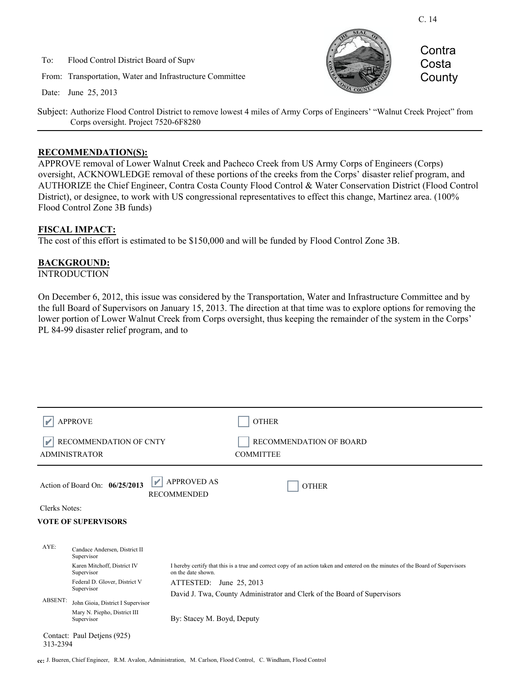To: Flood Control District Board of Supv

From: Transportation, Water and Infrastructure Committee

Date: June 25, 2013



**Contra** Costa **County** 

Subject: Authorize Flood Control District to remove lowest 4 miles of Army Corps of Engineers' "Walnut Creek Project" from Corps oversight. Project 7520-6F8280

#### **RECOMMENDATION(S):**

APPROVE removal of Lower Walnut Creek and Pacheco Creek from US Army Corps of Engineers (Corps) oversight, ACKNOWLEDGE removal of these portions of the creeks from the Corps' disaster relief program, and AUTHORIZE the Chief Engineer, Contra Costa County Flood Control & Water Conservation District (Flood Control District), or designee, to work with US congressional representatives to effect this change, Martinez area. (100% Flood Control Zone 3B funds)

#### **FISCAL IMPACT:**

The cost of this effort is estimated to be \$150,000 and will be funded by Flood Control Zone 3B.

## **BACKGROUND:**

**INTRODUCTION** 

On December 6, 2012, this issue was considered by the Transportation, Water and Infrastructure Committee and by the full Board of Supervisors on January 15, 2013. The direction at that time was to explore options for removing the lower portion of Lower Walnut Creek from Corps oversight, thus keeping the remainder of the system in the Corps' PL 84-99 disaster relief program, and to

|                                         | <b>APPROVE</b>                                                                   | <b>OTHER</b>                                                                                                                                          |
|-----------------------------------------|----------------------------------------------------------------------------------|-------------------------------------------------------------------------------------------------------------------------------------------------------|
|                                         | RECOMMENDATION OF CNTY<br><b>ADMINISTRATOR</b>                                   | RECOMMENDATION OF BOARD<br><b>COMMITTEE</b>                                                                                                           |
|                                         | Action of Board On: 06/25/2013                                                   | <b>APPROVED AS</b><br>V<br><b>OTHER</b><br><b>RECOMMENDED</b>                                                                                         |
| Clerks Notes:                           |                                                                                  |                                                                                                                                                       |
| <b>VOTE OF SUPERVISORS</b>              |                                                                                  |                                                                                                                                                       |
|                                         |                                                                                  |                                                                                                                                                       |
| AYE:                                    | Candace Andersen, District II<br>Supervisor                                      |                                                                                                                                                       |
|                                         | Karen Mitchoff, District IV<br>Supervisor                                        | I hereby certify that this is a true and correct copy of an action taken and entered on the minutes of the Board of Supervisors<br>on the date shown. |
| <b>ABSENT:</b>                          | Federal D. Glover, District V<br>Supervisor<br>John Gioia, District I Supervisor | ATTESTED:<br>June 25, 2013                                                                                                                            |
|                                         |                                                                                  | David J. Twa, County Administrator and Clerk of the Board of Supervisors                                                                              |
|                                         | Mary N. Piepho, District III<br>Supervisor                                       | By: Stacey M. Boyd, Deputy                                                                                                                            |
| Contact: Paul Detjens (925)<br>313-2394 |                                                                                  |                                                                                                                                                       |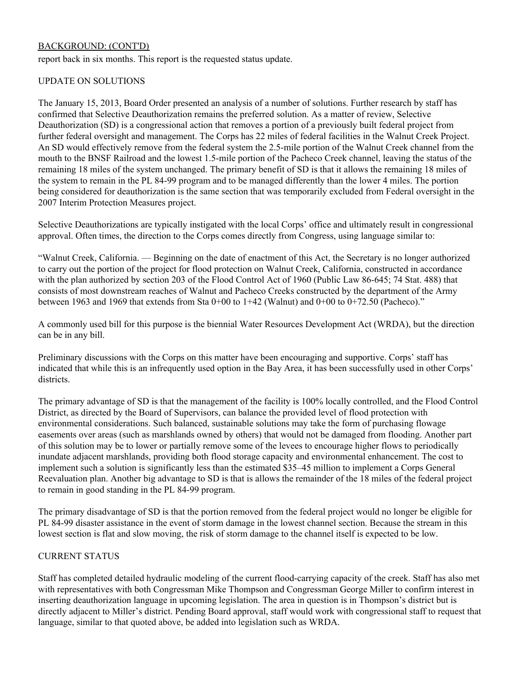# BACKGROUND: (CONT'D)

report back in six months. This report is the requested status update.

### UPDATE ON SOLUTIONS

The January 15, 2013, Board Order presented an analysis of a number of solutions. Further research by staff has confirmed that Selective Deauthorization remains the preferred solution. As a matter of review, Selective Deauthorization (SD) is a congressional action that removes a portion of a previously built federal project from further federal oversight and management. The Corps has 22 miles of federal facilities in the Walnut Creek Project. An SD would effectively remove from the federal system the 2.5-mile portion of the Walnut Creek channel from the mouth to the BNSF Railroad and the lowest 1.5-mile portion of the Pacheco Creek channel, leaving the status of the remaining 18 miles of the system unchanged. The primary benefit of SD is that it allows the remaining 18 miles of the system to remain in the PL 84-99 program and to be managed differently than the lower 4 miles. The portion being considered for deauthorization is the same section that was temporarily excluded from Federal oversight in the 2007 Interim Protection Measures project.

Selective Deauthorizations are typically instigated with the local Corps' office and ultimately result in congressional approval. Often times, the direction to the Corps comes directly from Congress, using language similar to:

"Walnut Creek, California. — Beginning on the date of enactment of this Act, the Secretary is no longer authorized to carry out the portion of the project for flood protection on Walnut Creek, California, constructed in accordance with the plan authorized by section 203 of the Flood Control Act of 1960 (Public Law 86-645; 74 Stat. 488) that consists of most downstream reaches of Walnut and Pacheco Creeks constructed by the department of the Army between 1963 and 1969 that extends from Sta 0+00 to 1+42 (Walnut) and 0+00 to 0+72.50 (Pacheco)."

A commonly used bill for this purpose is the biennial Water Resources Development Act (WRDA), but the direction can be in any bill.

Preliminary discussions with the Corps on this matter have been encouraging and supportive. Corps' staff has indicated that while this is an infrequently used option in the Bay Area, it has been successfully used in other Corps' districts.

The primary advantage of SD is that the management of the facility is 100% locally controlled, and the Flood Control District, as directed by the Board of Supervisors, can balance the provided level of flood protection with environmental considerations. Such balanced, sustainable solutions may take the form of purchasing flowage easements over areas (such as marshlands owned by others) that would not be damaged from flooding. Another part of this solution may be to lower or partially remove some of the levees to encourage higher flows to periodically inundate adjacent marshlands, providing both flood storage capacity and environmental enhancement. The cost to implement such a solution is significantly less than the estimated \$35–45 million to implement a Corps General Reevaluation plan. Another big advantage to SD is that is allows the remainder of the 18 miles of the federal project to remain in good standing in the PL 84-99 program.

The primary disadvantage of SD is that the portion removed from the federal project would no longer be eligible for PL 84-99 disaster assistance in the event of storm damage in the lowest channel section. Because the stream in this lowest section is flat and slow moving, the risk of storm damage to the channel itself is expected to be low.

# CURRENT STATUS

Staff has completed detailed hydraulic modeling of the current flood-carrying capacity of the creek. Staff has also met with representatives with both Congressman Mike Thompson and Congressman George Miller to confirm interest in inserting deauthorization language in upcoming legislation. The area in question is in Thompson's district but is directly adjacent to Miller's district. Pending Board approval, staff would work with congressional staff to request that language, similar to that quoted above, be added into legislation such as WRDA.